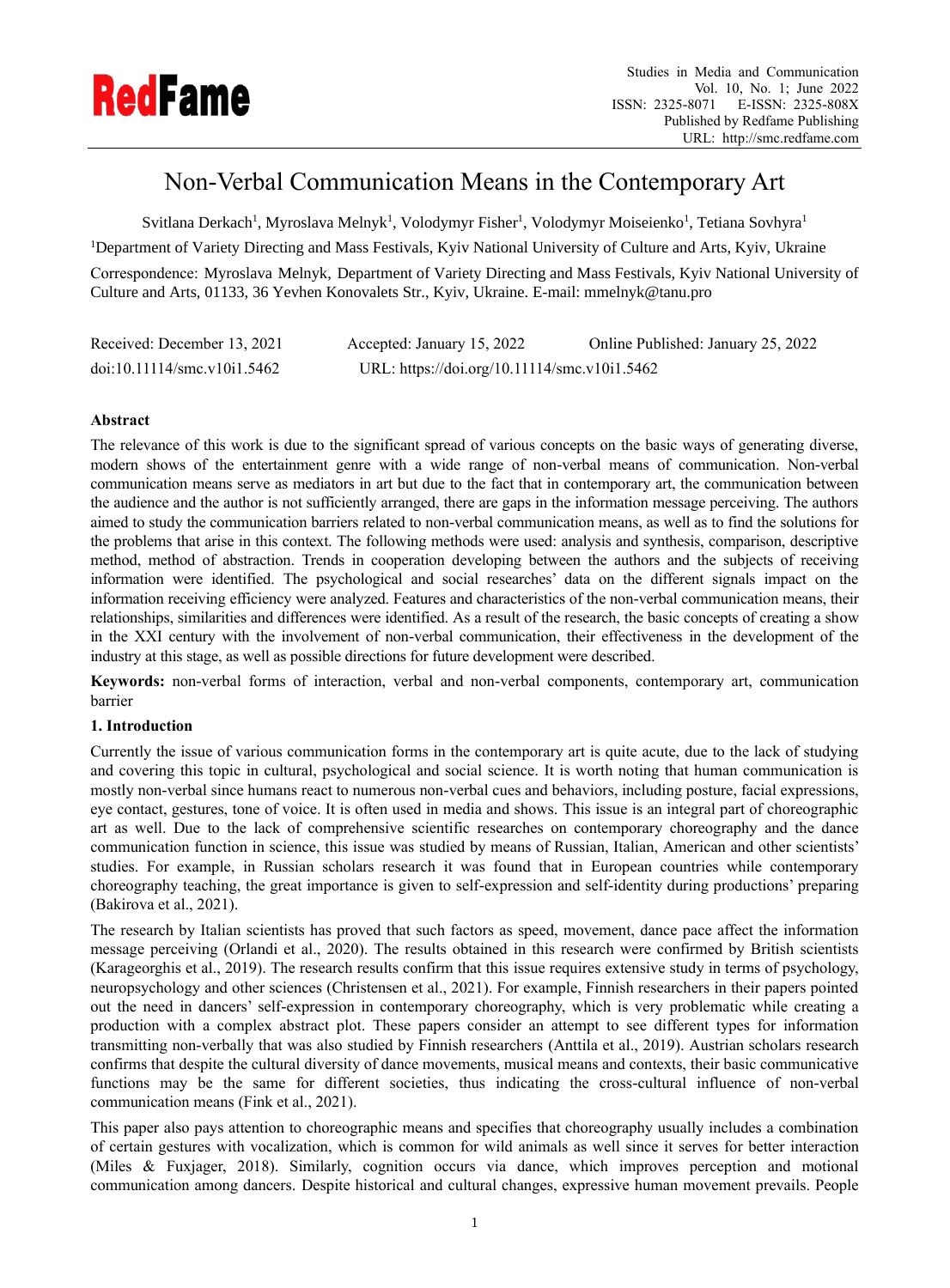

# Non-Verbal Communication Means in the Contemporary Art

Svitlana Derkach<sup>1</sup>, Myroslava Melnyk<sup>1</sup>, Volodymyr Fisher<sup>1</sup>, Volodymyr Moiseienko<sup>1</sup>, Tetiana Sovhyra<sup>1</sup>

<sup>1</sup>Department of Variety Directing and Mass Festivals, Kyiv National University of Culture and Arts, Kyiv, Ukraine

Correspondence: Myroslava Melnyk, Department of Variety Directing and Mass Festivals, Kyiv National University of Culture and Arts, 01133, 36 Yevhen Konovalets Str., Kyiv, Ukraine. E-mail: mmelnyk@tanu.pro

| Received: December 13, 2021 | Accepted: January 15, 2022                   | Online Published: January 25, 2022 |
|-----------------------------|----------------------------------------------|------------------------------------|
| doi:10.11114/smc.v10i1.5462 | URL: https://doi.org/10.11114/smc.v10i1.5462 |                                    |

# **Abstract**

The relevance of this work is due to the significant spread of various concepts on the basic ways of generating diverse, modern shows of the entertainment genre with a wide range of non-verbal means of communication. Non-verbal communication means serve as mediators in art but due to the fact that in contemporary art, the communication between the audience and the author is not sufficiently arranged, there are gaps in the information message perceiving. The authors aimed to study the communication barriers related to non-verbal communication means, as well as to find the solutions for the problems that arise in this context. The following methods were used: analysis and synthesis, comparison, descriptive method, method of abstraction. Trends in cooperation developing between the authors and the subjects of receiving information were identified. The psychological and social researches' data on the different signals impact on the information receiving efficiency were analyzed. Features and characteristics of the non-verbal communication means, their relationships, similarities and differences were identified. As a result of the research, the basic concepts of creating a show in the XXI century with the involvement of non-verbal communication, their effectiveness in the development of the industry at this stage, as well as possible directions for future development were described.

**Keywords:** non-verbal forms of interaction, verbal and non-verbal components, contemporary art, communication barrier

## **1. Introduction**

Currently the issue of various communication forms in the contemporary art is quite acute, due to the lack of studying and covering this topic in cultural, psychological and social science. It is worth noting that human communication is mostly non-verbal since humans react to numerous non-verbal cues and behaviors, including posture, facial expressions, eye contact, gestures, tone of voice. It is often used in media and shows. This issue is an integral part of choreographic art as well. Due to the lack of comprehensive scientific researches on contemporary choreography and the dance communication function in science, this issue was studied by means of Russian, Italian, American and other scientists' studies. For example, in Russian scholars research it was found that in European countries while contemporary choreography teaching, the great importance is given to self-expression and self-identity during productions' preparing (Bakirova et al., 2021).

The research by Italian scientists has proved that such factors as speed, movement, dance pace affect the information message perceiving (Orlandi et al., 2020). The results obtained in this research were confirmed by British scientists (Karageorghis et al., 2019). The research results confirm that this issue requires extensive study in terms of psychology, neuropsychology and other sciences (Christensen et al., 2021). For example, Finnish researchers in their papers pointed out the need in dancers' self-expression in contemporary choreography, which is very problematic while creating a production with a complex abstract plot. These papers consider an attempt to see different types for information transmitting non-verbally that was also studied by Finnish researchers (Anttila et al., 2019). Austrian scholars research confirms that despite the cultural diversity of dance movements, musical means and contexts, their basic communicative functions may be the same for different societies, thus indicating the cross-cultural influence of non-verbal communication means (Fink et al., 2021).

This paper also pays attention to choreographic means and specifies that choreography usually includes a combination of certain gestures with vocalization, which is common for wild animals as well since it serves for better interaction (Miles & Fuxjager, 2018). Similarly, cognition occurs via dance, which improves perception and motional communication among dancers. Despite historical and cultural changes, expressive human movement prevails. People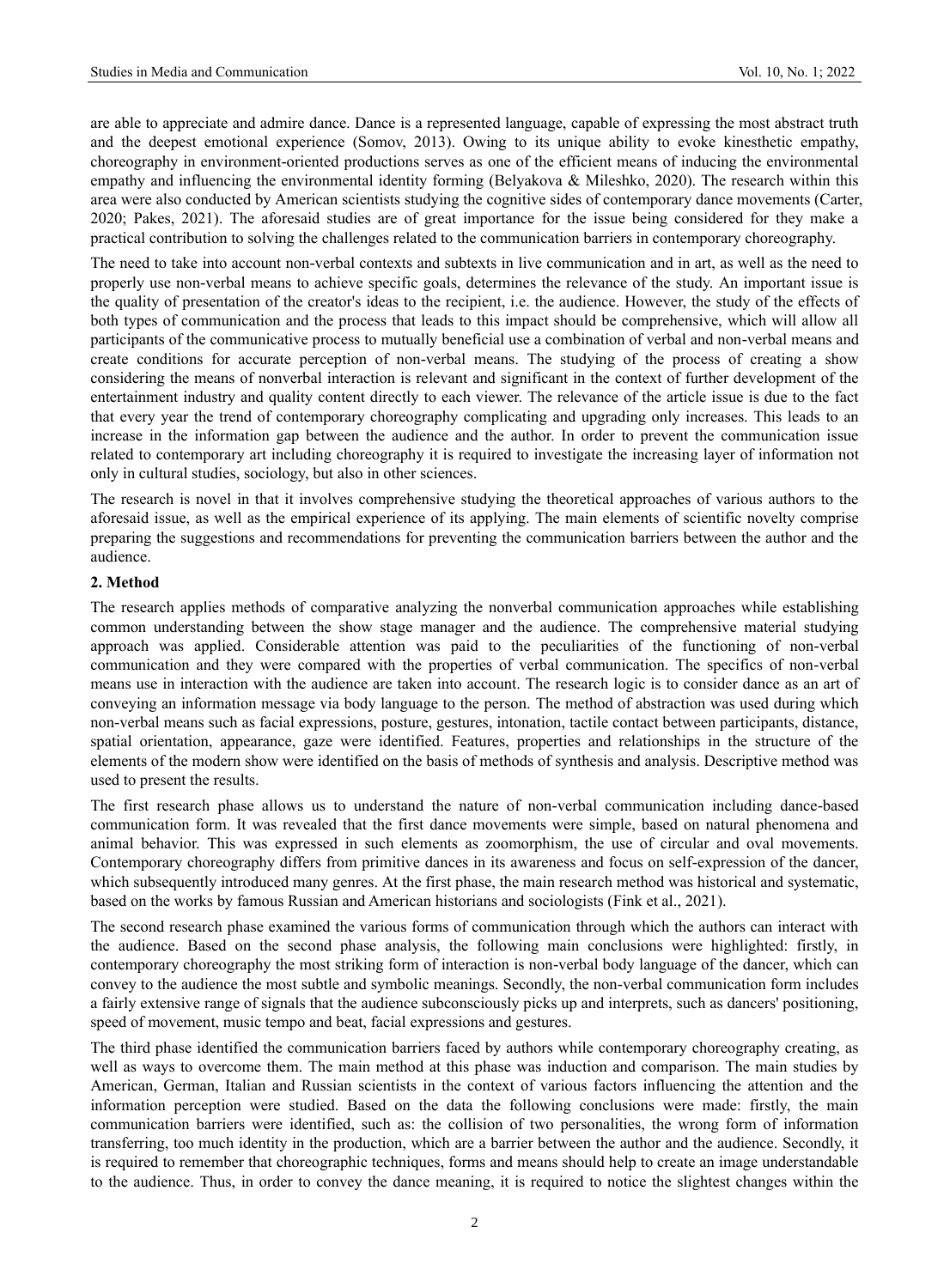are able to appreciate and admire dance. Dance is a represented language, capable of expressing the most abstract truth and the deepest emotional experience (Somov, 2013). Owing to its unique ability to evoke kinesthetic empathy, choreography in environment-oriented productions serves as one of the efficient means of inducing the environmental empathy and influencing the environmental identity forming (Belyakova & Mileshko, 2020). The research within this area were also conducted by American scientists studying the cognitive sides of contemporary dance movements (Carter, 2020; Pakes, 2021). The aforesaid studies are of great importance for the issue being considered for they make a practical contribution to solving the challenges related to the communication barriers in contemporary choreography.

The need to take into account non-verbal contexts and subtexts in live communication and in art, as well as the need to properly use non-verbal means to achieve specific goals, determines the relevance of the study. An important issue is the quality of presentation of the creator's ideas to the recipient, i.e. the audience. However, the study of the effects of both types of communication and the process that leads to this impact should be comprehensive, which will allow all participants of the communicative process to mutually beneficial use a combination of verbal and non-verbal means and create conditions for accurate perception of non-verbal means. The studying of the process of creating a show considering the means of nonverbal interaction is relevant and significant in the context of further development of the entertainment industry and quality content directly to each viewer. The relevance of the article issue is due to the fact that every year the trend of contemporary choreography complicating and upgrading only increases. This leads to an increase in the information gap between the audience and the author. In order to prevent the communication issue related to contemporary art including choreography it is required to investigate the increasing layer of information not only in cultural studies, sociology, but also in other sciences.

The research is novel in that it involves comprehensive studying the theoretical approaches of various authors to the aforesaid issue, as well as the empirical experience of its applying. The main elements of scientific novelty comprise preparing the suggestions and recommendations for preventing the communication barriers between the author and the audience.

#### **2. Method**

The research applies methods of comparative analyzing the nonverbal communication approaches while establishing common understanding between the show stage manager and the audience. The comprehensive material studying approach was applied. Considerable attention was paid to the peculiarities of the functioning of non-verbal communication and they were compared with the properties of verbal communication. The specifics of non-verbal means use in interaction with the audience are taken into account. The research logic is to consider dance as an art of conveying an information message via body language to the person. The method of abstraction was used during which non-verbal means such as facial expressions, posture, gestures, intonation, tactile contact between participants, distance, spatial orientation, appearance, gaze were identified. Features, properties and relationships in the structure of the elements of the modern show were identified on the basis of methods of synthesis and analysis. Descriptive method was used to present the results.

The first research phase allows us to understand the nature of non-verbal communication including dance-based communication form. It was revealed that the first dance movements were simple, based on natural phenomena and animal behavior. This was expressed in such elements as zoomorphism, the use of circular and oval movements. Contemporary choreography differs from primitive dances in its awareness and focus on self-expression of the dancer, which subsequently introduced many genres. At the first phase, the main research method was historical and systematic, based on the works by famous Russian and American historians and sociologists (Fink et al., 2021).

The second research phase examined the various forms of communication through which the authors can interact with the audience. Based on the second phase analysis, the following main conclusions were highlighted: firstly, in contemporary choreography the most striking form of interaction is non-verbal body language of the dancer, which can convey to the audience the most subtle and symbolic meanings. Secondly, the non-verbal communication form includes a fairly extensive range of signals that the audience subconsciously picks up and interprets, such as dancers' positioning, speed of movement, music tempo and beat, facial expressions and gestures.

The third phase identified the communication barriers faced by authors while contemporary choreography creating, as well as ways to overcome them. The main method at this phase was induction and comparison. The main studies by American, German, Italian and Russian scientists in the context of various factors influencing the attention and the information perception were studied. Based on the data the following conclusions were made: firstly, the main communication barriers were identified, such as: the collision of two personalities, the wrong form of information transferring, too much identity in the production, which are a barrier between the author and the audience. Secondly, it is required to remember that choreographic techniques, forms and means should help to create an image understandable to the audience. Thus, in order to convey the dance meaning, it is required to notice the slightest changes within the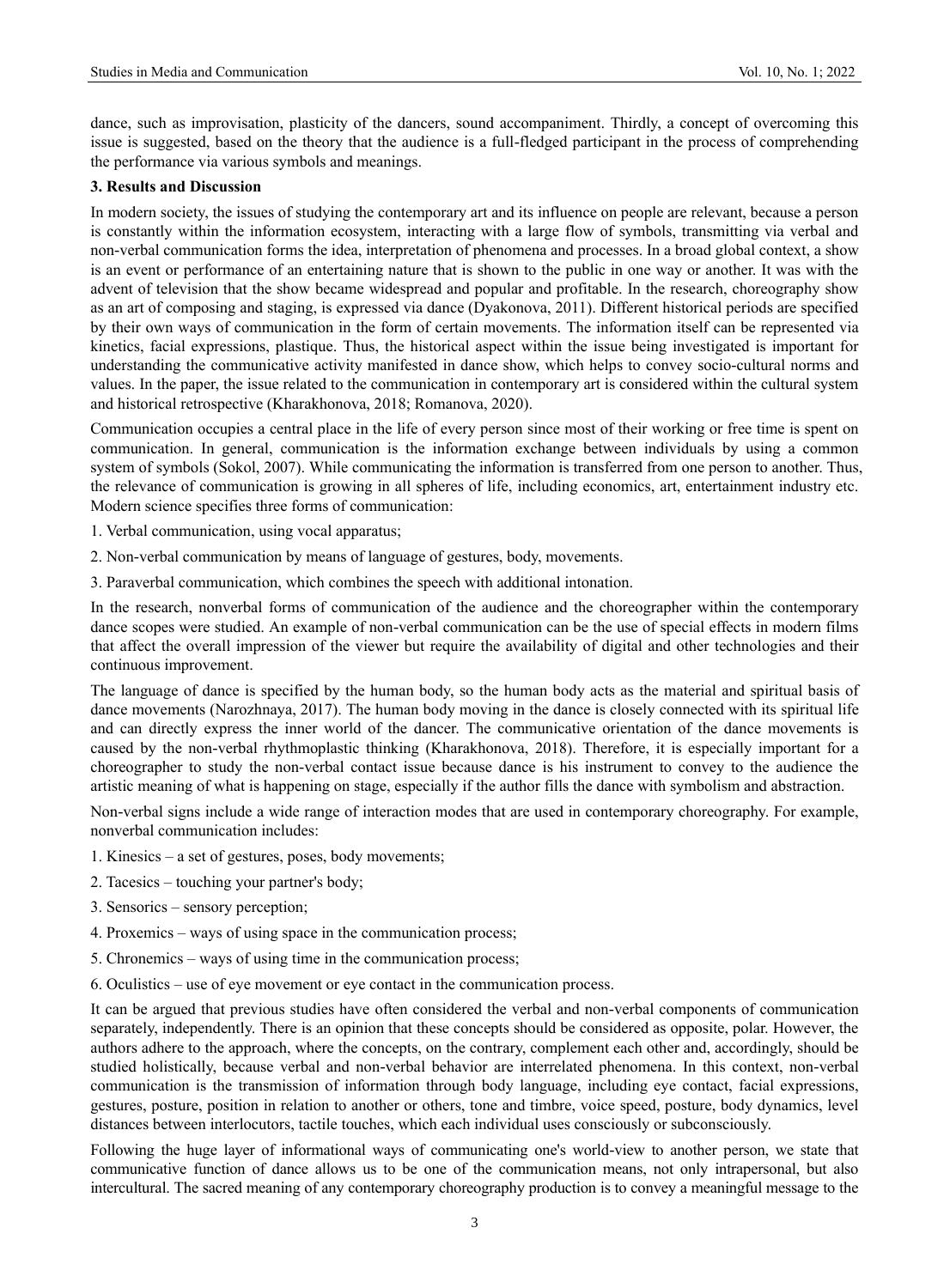dance, such as improvisation, plasticity of the dancers, sound accompaniment. Thirdly, a concept of overcoming this issue is suggested, based on the theory that the audience is a full-fledged participant in the process of comprehending the performance via various symbols and meanings.

## **3. Results and Discussion**

In modern society, the issues of studying the contemporary art and its influence on people are relevant, because a person is constantly within the information ecosystem, interacting with a large flow of symbols, transmitting via verbal and non-verbal communication forms the idea, interpretation of phenomena and processes. In a broad global context, a show is an event or performance of an entertaining nature that is shown to the public in one way or another. It was with the advent of television that the show became widespread and popular and profitable. In the research, choreography show as an art of composing and staging, is expressed via dance (Dyakonova, 2011). Different historical periods are specified by their own ways of communication in the form of certain movements. The information itself can be represented via kinetics, facial expressions, plastique. Thus, the historical aspect within the issue being investigated is important for understanding the communicative activity manifested in dance show, which helps to convey socio-cultural norms and values. In the paper, the issue related to the communication in contemporary art is considered within the cultural system and historical retrospective (Kharakhonova, 2018; Romanova, 2020).

Communication occupies a central place in the life of every person since most of their working or free time is spent on communication. In general, communication is the information exchange between individuals by using a common system of symbols (Sokol, 2007). While communicating the information is transferred from one person to another. Thus, the relevance of communication is growing in all spheres of life, including economics, art, entertainment industry etc. Modern science specifies three forms of communication:

- 1. Verbal communication, using vocal apparatus;
- 2. Non-verbal communication by means of language of gestures, body, movements.
- 3. Paraverbal communication, which combines the speech with additional intonation.

In the research, nonverbal forms of communication of the audience and the choreographer within the contemporary dance scopes were studied. An example of non-verbal communication can be the use of special effects in modern films that affect the overall impression of the viewer but require the availability of digital and other technologies and their continuous improvement.

The language of dance is specified by the human body, so the human body acts as the material and spiritual basis of dance movements (Narozhnaya, 2017). The human body moving in the dance is closely connected with its spiritual life and can directly express the inner world of the dancer. The communicative orientation of the dance movements is caused by the non-verbal rhythmoplastic thinking (Kharakhonova, 2018). Therefore, it is especially important for a choreographer to study the non-verbal contact issue because dance is his instrument to convey to the audience the artistic meaning of what is happening on stage, especially if the author fills the dance with symbolism and abstraction.

Non-verbal signs include a wide range of interaction modes that are used in contemporary choreography. For example, nonverbal communication includes:

- 1. Kinesics a set of gestures, poses, body movements;
- 2. Tacesics touching your partner's body;
- 3. Sensorics sensory perception;
- 4. Proxemics ways of using space in the communication process;
- 5. Chronemics ways of using time in the communication process;
- 6. Oculistics use of eye movement or eye contact in the communication process.

It can be argued that previous studies have often considered the verbal and non-verbal components of communication separately, independently. There is an opinion that these concepts should be considered as opposite, polar. However, the authors adhere to the approach, where the concepts, on the contrary, complement each other and, accordingly, should be studied holistically, because verbal and non-verbal behavior are interrelated phenomena. In this context, non-verbal communication is the transmission of information through body language, including eye contact, facial expressions, gestures, posture, position in relation to another or others, tone and timbre, voice speed, posture, body dynamics, level distances between interlocutors, tactile touches, which each individual uses consciously or subconsciously.

Following the huge layer of informational ways of communicating one's world-view to another person, we state that communicative function of dance allows us to be one of the communication means, not only intrapersonal, but also intercultural. The sacred meaning of any contemporary choreography production is to convey a meaningful message to the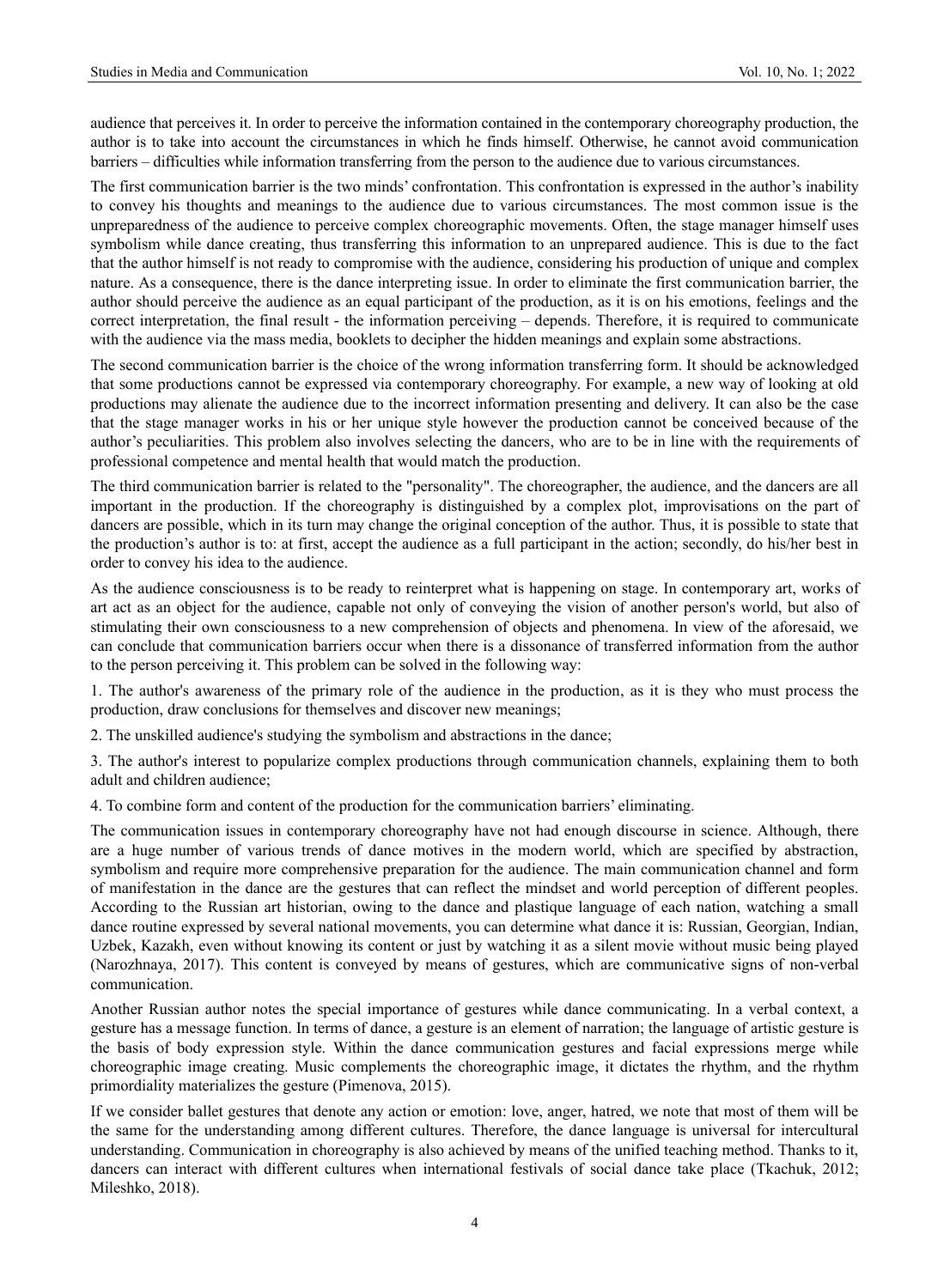audience that perceives it. In order to perceive the information contained in the contemporary choreography production, the author is to take into account the circumstances in which he finds himself. Otherwise, he cannot avoid communication barriers – difficulties while information transferring from the person to the audience due to various circumstances.

The first communication barrier is the two minds' confrontation. This confrontation is expressed in the author's inability to convey his thoughts and meanings to the audience due to various circumstances. The most common issue is the unpreparedness of the audience to perceive complex choreographic movements. Often, the stage manager himself uses symbolism while dance creating, thus transferring this information to an unprepared audience. This is due to the fact that the author himself is not ready to compromise with the audience, considering his production of unique and complex nature. As a consequence, there is the dance interpreting issue. In order to eliminate the first communication barrier, the author should perceive the audience as an equal participant of the production, as it is on his emotions, feelings and the correct interpretation, the final result - the information perceiving – depends. Therefore, it is required to communicate with the audience via the mass media, booklets to decipher the hidden meanings and explain some abstractions.

The second communication barrier is the choice of the wrong information transferring form. It should be acknowledged that some productions cannot be expressed via contemporary choreography. For example, a new way of looking at old productions may alienate the audience due to the incorrect information presenting and delivery. It can also be the case that the stage manager works in his or her unique style however the production cannot be conceived because of the author's peculiarities. This problem also involves selecting the dancers, who are to be in line with the requirements of professional competence and mental health that would match the production.

The third communication barrier is related to the "personality". The choreographer, the audience, and the dancers are all important in the production. If the choreography is distinguished by a complex plot, improvisations on the part of dancers are possible, which in its turn may change the original conception of the author. Thus, it is possible to state that the production's author is to: at first, accept the audience as a full participant in the action; secondly, do his/her best in order to convey his idea to the audience.

As the audience consciousness is to be ready to reinterpret what is happening on stage. In contemporary art, works of art act as an object for the audience, capable not only of conveying the vision of another person's world, but also of stimulating their own consciousness to a new comprehension of objects and phenomena. In view of the aforesaid, we can conclude that communication barriers occur when there is a dissonance of transferred information from the author to the person perceiving it. This problem can be solved in the following way:

1. The author's awareness of the primary role of the audience in the production, as it is they who must process the production, draw conclusions for themselves and discover new meanings;

2. The unskilled audience's studying the symbolism and abstractions in the dance;

3. The author's interest to popularize complex productions through communication channels, explaining them to both adult and children audience;

4. To combine form and content of the production for the communication barriers' eliminating.

The communication issues in contemporary choreography have not had enough discourse in science. Although, there are a huge number of various trends of dance motives in the modern world, which are specified by abstraction, symbolism and require more comprehensive preparation for the audience. The main communication channel and form of manifestation in the dance are the gestures that can reflect the mindset and world perception of different peoples. According to the Russian art historian, owing to the dance and plastique language of each nation, watching a small dance routine expressed by several national movements, you can determine what dance it is: Russian, Georgian, Indian, Uzbek, Kazakh, even without knowing its content or just by watching it as a silent movie without music being played (Narozhnaya, 2017). This content is conveyed by means of gestures, which are communicative signs of non-verbal communication.

Another Russian author notes the special importance of gestures while dance communicating. In a verbal context, a gesture has a message function. In terms of dance, a gesture is an element of narration; the language of artistic gesture is the basis of body expression style. Within the dance communication gestures and facial expressions merge while choreographic image creating. Music complements the choreographic image, it dictates the rhythm, and the rhythm primordiality materializes the gesture (Pimenova, 2015).

If we consider ballet gestures that denote any action or emotion: love, anger, hatred, we note that most of them will be the same for the understanding among different cultures. Therefore, the dance language is universal for intercultural understanding. Communication in choreography is also achieved by means of the unified teaching method. Thanks to it, dancers can interact with different cultures when international festivals of social dance take place (Tkachuk, 2012; Mileshko, 2018).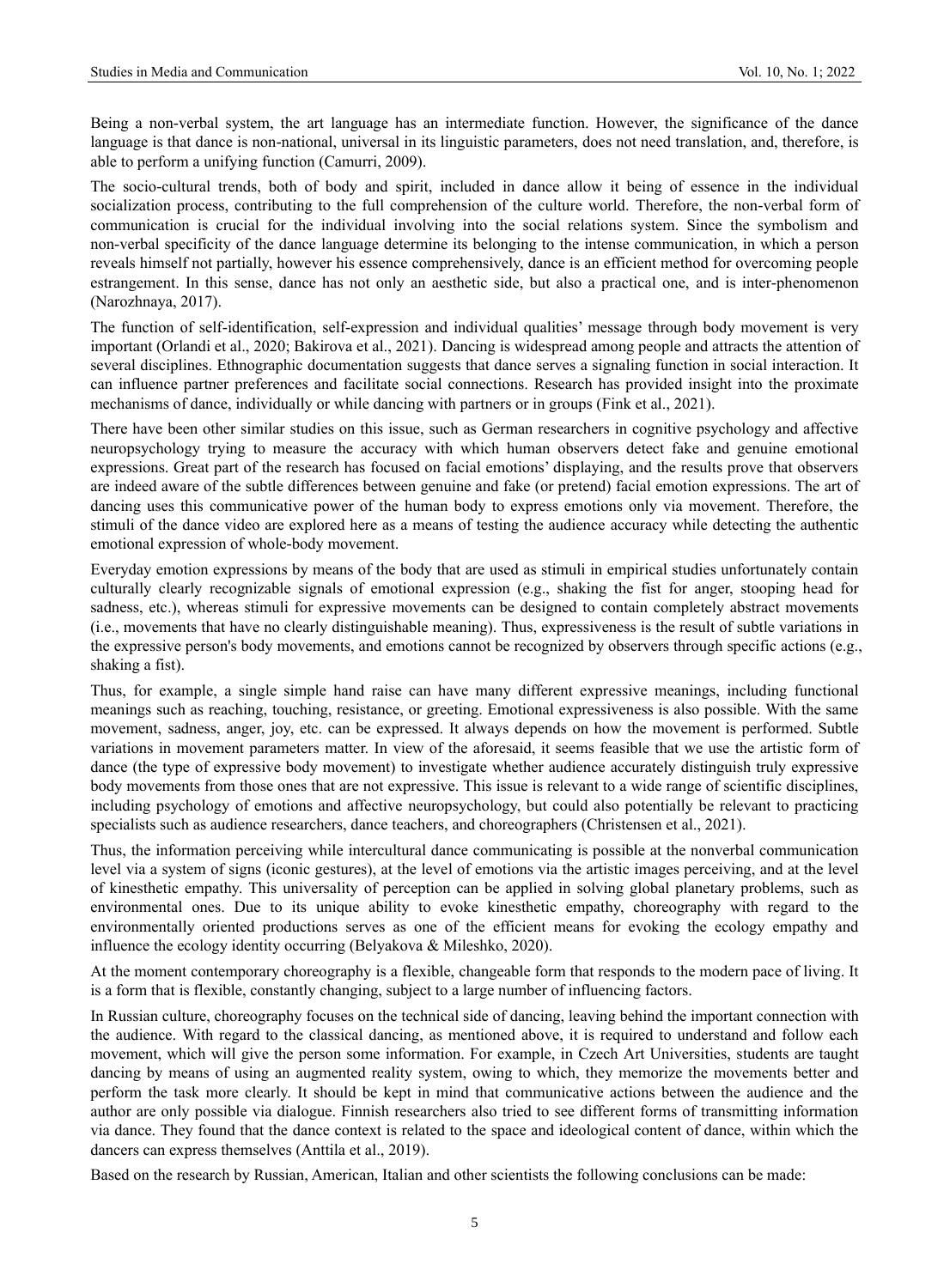Being a non-verbal system, the art language has an intermediate function. However, the significance of the dance language is that dance is non-national, universal in its linguistic parameters, does not need translation, and, therefore, is able to perform a unifying function (Camurri, 2009).

The socio-cultural trends, both of body and spirit, included in dance allow it being of essence in the individual socialization process, contributing to the full comprehension of the culture world. Therefore, the non-verbal form of communication is crucial for the individual involving into the social relations system. Since the symbolism and non-verbal specificity of the dance language determine its belonging to the intense communication, in which a person reveals himself not partially, however his essence comprehensively, dance is an efficient method for overcoming people estrangement. In this sense, dance has not only an aesthetic side, but also a practical one, and is inter-phenomenon (Narozhnaya, 2017).

The function of self-identification, self-expression and individual qualities' message through body movement is very important (Orlandi et al., 2020; Bakirova et al., 2021). Dancing is widespread among people and attracts the attention of several disciplines. Ethnographic documentation suggests that dance serves a signaling function in social interaction. It can influence partner preferences and facilitate social connections. Research has provided insight into the proximate mechanisms of dance, individually or while dancing with partners or in groups (Fink et al., 2021).

There have been other similar studies on this issue, such as German researchers in cognitive psychology and affective neuropsychology trying to measure the accuracy with which human observers detect fake and genuine emotional expressions. Great part of the research has focused on facial emotions' displaying, and the results prove that observers are indeed aware of the subtle differences between genuine and fake (or pretend) facial emotion expressions. The art of dancing uses this communicative power of the human body to express emotions only via movement. Therefore, the stimuli of the dance video are explored here as a means of testing the audience accuracy while detecting the authentic emotional expression of whole-body movement.

Everyday emotion expressions by means of the body that are used as stimuli in empirical studies unfortunately contain culturally clearly recognizable signals of emotional expression (e.g., shaking the fist for anger, stooping head for sadness, etc.), whereas stimuli for expressive movements can be designed to contain completely abstract movements (i.e., movements that have no clearly distinguishable meaning). Thus, expressiveness is the result of subtle variations in the expressive person's body movements, and emotions cannot be recognized by observers through specific actions (e.g., shaking a fist).

Thus, for example, a single simple hand raise can have many different expressive meanings, including functional meanings such as reaching, touching, resistance, or greeting. Emotional expressiveness is also possible. With the same movement, sadness, anger, joy, etc. can be expressed. It always depends on how the movement is performed. Subtle variations in movement parameters matter. In view of the aforesaid, it seems feasible that we use the artistic form of dance (the type of expressive body movement) to investigate whether audience accurately distinguish truly expressive body movements from those ones that are not expressive. This issue is relevant to a wide range of scientific disciplines, including psychology of emotions and affective neuropsychology, but could also potentially be relevant to practicing specialists such as audience researchers, dance teachers, and choreographers (Christensen et al., 2021).

Thus, the information perceiving while intercultural dance communicating is possible at the nonverbal communication level via a system of signs (iconic gestures), at the level of emotions via the artistic images perceiving, and at the level of kinesthetic empathy. This universality of perception can be applied in solving global planetary problems, such as environmental ones. Due to its unique ability to evoke kinesthetic empathy, choreography with regard to the environmentally oriented productions serves as one of the efficient means for evoking the ecology empathy and influence the ecology identity occurring (Belyakova & Mileshko, 2020).

At the moment contemporary choreography is a flexible, changeable form that responds to the modern pace of living. It is a form that is flexible, constantly changing, subject to a large number of influencing factors.

In Russian culture, choreography focuses on the technical side of dancing, leaving behind the important connection with the audience. With regard to the classical dancing, as mentioned above, it is required to understand and follow each movement, which will give the person some information. For example, in Czech Art Universities, students are taught dancing by means of using an augmented reality system, owing to which, they memorize the movements better and perform the task more clearly. It should be kept in mind that communicative actions between the audience and the author are only possible via dialogue. Finnish researchers also tried to see different forms of transmitting information via dance. They found that the dance context is related to the space and ideological content of dance, within which the dancers can express themselves (Anttila et al., 2019).

Based on the research by Russian, American, Italian and other scientists the following conclusions can be made: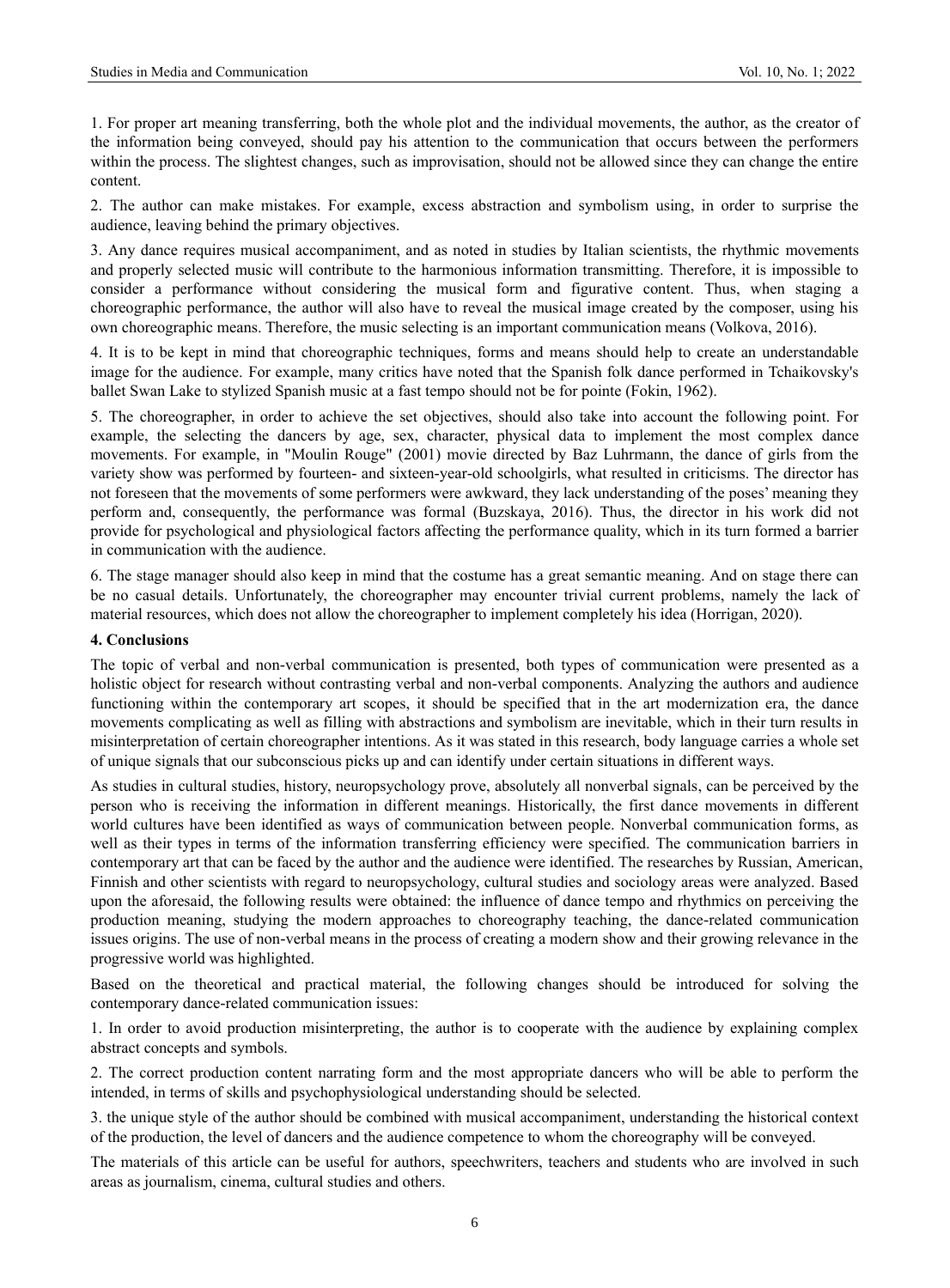1. For proper art meaning transferring, both the whole plot and the individual movements, the author, as the creator of the information being conveyed, should pay his attention to the communication that occurs between the performers within the process. The slightest changes, such as improvisation, should not be allowed since they can change the entire content.

2. The author can make mistakes. For example, excess abstraction and symbolism using, in order to surprise the audience, leaving behind the primary objectives.

3. Any dance requires musical accompaniment, and as noted in studies by Italian scientists, the rhythmic movements and properly selected music will contribute to the harmonious information transmitting. Therefore, it is impossible to consider a performance without considering the musical form and figurative content. Thus, when staging a choreographic performance, the author will also have to reveal the musical image created by the composer, using his own choreographic means. Therefore, the music selecting is an important communication means (Volkova, 2016).

4. It is to be kept in mind that choreographic techniques, forms and means should help to create an understandable image for the audience. For example, many critics have noted that the Spanish folk dance performed in Tchaikovsky's ballet Swan Lake to stylized Spanish music at a fast tempo should not be for pointe (Fokin, 1962).

5. The choreographer, in order to achieve the set objectives, should also take into account the following point. For example, the selecting the dancers by age, sex, character, physical data to implement the most complex dance movements. For example, in "Moulin Rouge" (2001) movie directed by Baz Luhrmann, the dance of girls from the variety show was performed by fourteen- and sixteen-year-old schoolgirls, what resulted in criticisms. The director has not foreseen that the movements of some performers were awkward, they lack understanding of the poses' meaning they perform and, consequently, the performance was formal (Buzskaya, 2016). Thus, the director in his work did not provide for psychological and physiological factors affecting the performance quality, which in its turn formed a barrier in communication with the audience.

6. The stage manager should also keep in mind that the costume has a great semantic meaning. And on stage there can be no casual details. Unfortunately, the choreographer may encounter trivial current problems, namely the lack of material resources, which does not allow the choreographer to implement completely his idea (Horrigan, 2020).

#### **4. Conclusions**

The topic of verbal and non-verbal communication is presented, both types of communication were presented as a holistic object for research without contrasting verbal and non-verbal components. Analyzing the authors and audience functioning within the contemporary art scopes, it should be specified that in the art modernization era, the dance movements complicating as well as filling with abstractions and symbolism are inevitable, which in their turn results in misinterpretation of certain choreographer intentions. As it was stated in this research, body language carries a whole set of unique signals that our subconscious picks up and can identify under certain situations in different ways.

As studies in cultural studies, history, neuropsychology prove, absolutely all nonverbal signals, can be perceived by the person who is receiving the information in different meanings. Historically, the first dance movements in different world cultures have been identified as ways of communication between people. Nonverbal communication forms, as well as their types in terms of the information transferring efficiency were specified. The communication barriers in contemporary art that can be faced by the author and the audience were identified. The researches by Russian, American, Finnish and other scientists with regard to neuropsychology, cultural studies and sociology areas were analyzed. Based upon the aforesaid, the following results were obtained: the influence of dance tempo and rhythmics on perceiving the production meaning, studying the modern approaches to choreography teaching, the dance-related communication issues origins. The use of non-verbal means in the process of creating a modern show and their growing relevance in the progressive world was highlighted.

Based on the theoretical and practical material, the following changes should be introduced for solving the contemporary dance-related communication issues:

1. In order to avoid production misinterpreting, the author is to cooperate with the audience by explaining complex abstract concepts and symbols.

2. The correct production content narrating form and the most appropriate dancers who will be able to perform the intended, in terms of skills and psychophysiological understanding should be selected.

3. the unique style of the author should be combined with musical accompaniment, understanding the historical context of the production, the level of dancers and the audience competence to whom the choreography will be conveyed.

The materials of this article can be useful for authors, speechwriters, teachers and students who are involved in such areas as journalism, cinema, cultural studies and others.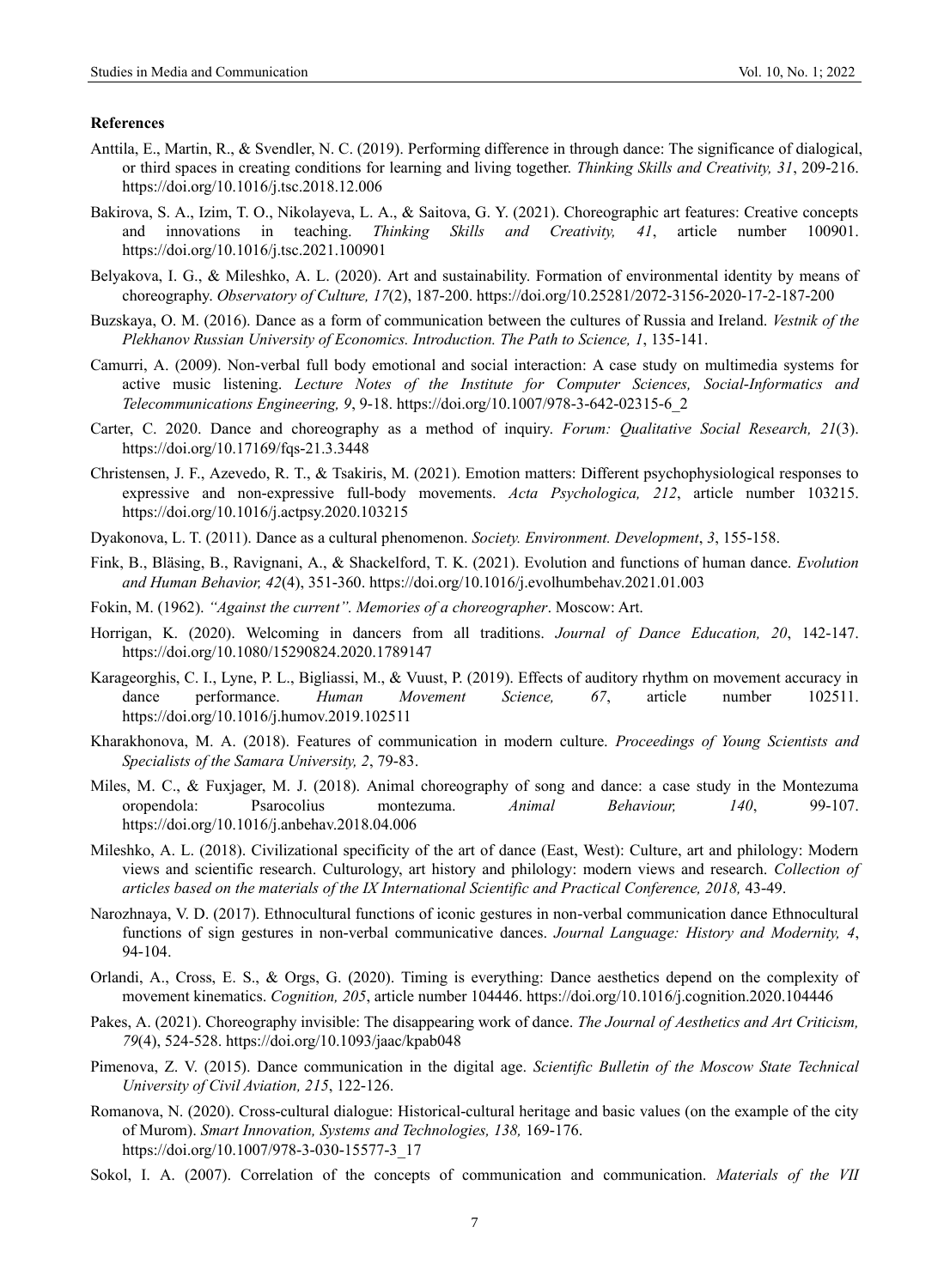#### **References**

- Anttila, E., Martin, R., & Svendler, N. C. (2019). Performing difference in through dance: The significance of dialogical, or third spaces in creating conditions for learning and living together. *Thinking Skills and Creativity, 31*, 209-216. <https://doi.org/10.1016/j.tsc.2018.12.006>
- Bakirova, S. A., Izim, T. O., Nikolayeva, L. A., & Saitova, G. Y. (2021). Choreographic art features: Creative concepts and innovations in teaching. *Thinking Skills and Creativity, 41*, article number 100901. <https://doi.org/10.1016/j.tsc.2021.100901>
- Belyakova, I. G., & Mileshko, A. L. (2020). Art and sustainability. Formation of environmental identity by means of choreography. *Observatory of Culture, 17*(2), 187-200.<https://doi.org/10.25281/2072-3156-2020-17-2-187-200>
- Buzskaya, O. M. (2016). Dance as a form of communication between the cultures of Russia and Ireland. *Vestnik of the Plekhanov Russian University of Economics. Introduction. The Path to Science, 1*, 135-141.
- Camurri, A. (2009). Non-verbal full body emotional and social interaction: A case study on multimedia systems for active music listening. *Lecture Notes of the Institute for Computer Sciences, Social-Informatics and Telecommunications Engineering, 9*, 9-18. [https://doi.org/10.1007/978-3-642-02315-6\\_2](https://doi.org/10.1007/978-3-642-02315-6_2)
- Carter, C. 2020. Dance and choreography as a method of inquiry. *Forum: Qualitative Social Research, 21*(3). https://doi.org/10.17169/fqs-21.3.3448
- Christensen, J. F., Azevedo, R. T., & Tsakiris, M. (2021). Emotion matters: Different psychophysiological responses to expressive and non-expressive full-body movements. *Acta Psychologica, 212*, article number 103215. <https://doi.org/10.1016/j.actpsy.2020.103215>
- Dyakonova, L. T. (2011). Dance as a cultural phenomenon. *Society. Environment. Development*, *3*, 155-158.
- Fink, B., Bläsing, B., Ravignani, A., & Shackelford, T. K. (2021). Evolution and functions of human dance. *Evolution and Human Behavior, 42*(4), 351-360[. https://doi.org/10.1016/j.evolhumbehav.2021.01.003](https://doi.org/10.1016/j.evolhumbehav.2021.01.003)
- Fokin, M. (1962). *"Against the current". Memories of a choreographer*. Moscow: Art.
- Horrigan, K. (2020). Welcoming in dancers from all traditions. *Journal of Dance Education, 20*, 142-147. <https://doi.org/10.1080/15290824.2020.1789147>
- Karageorghis, C. I., Lyne, P. L., Bigliassi, M., & Vuust, P. (2019). Effects of auditory rhythm on movement accuracy in dance performance. *Human Movement Science, 67*, article number 102511. <https://doi.org/10.1016/j.humov.2019.102511>
- Kharakhonova, M. A. (2018). Features of communication in modern culture. *Proceedings of Young Scientists and Specialists of the Samara University, 2*, 79-83.
- Miles, M. C., & Fuxjager, M. J. (2018). Animal choreography of song and dance: a case study in the Montezuma oropendola: Psarocolius montezuma. *Animal Behaviour, 140*, 99-107. <https://doi.org/10.1016/j.anbehav.2018.04.006>
- Mileshko, A. L. (2018). Civilizational specificity of the art of dance (East, West): Culture, art and philology: Modern views and scientific research. Culturology, art history and philology: modern views and research. *Collection of articles based on the materials of the IX International Scientific and Practical Conference, 2018,* 43-49.
- Narozhnaya, V. D. (2017). Ethnocultural functions of iconic gestures in non-verbal communication dance Ethnocultural functions of sign gestures in non-verbal communicative dances. *Journal Language: History and Modernity, 4*, 94-104.
- Orlandi, A., Cross, E. S., & Orgs, G. (2020). Timing is everything: Dance aesthetics depend on the complexity of movement kinematics. *Cognition, 205*, article number 104446.<https://doi.org/10.1016/j.cognition.2020.104446>
- Pakes, A. (2021). Choreography invisible: The disappearing work of dance. *The Journal of Aesthetics and Art Criticism, 79*(4), 524-528[. https://doi.org/10.1093/jaac/kpab048](https://doi.org/10.1093/jaac/kpab048)
- Pimenova, Z. V. (2015). Dance communication in the digital age. *Scientific Bulletin of the Moscow State Technical University of Civil Aviation, 215*, 122-126.
- Romanova, N. (2020). Cross-cultural dialogue: Historical-cultural heritage and basic values (on the example of the city of Murom). *Smart Innovation, Systems and Technologies, 138,* 169-176. https://doi.org/10.1007/978-3-030-15577-3\_17
- Sokol, I. A. (2007). Correlation of the concepts of communication and communication. *Materials of the VII*